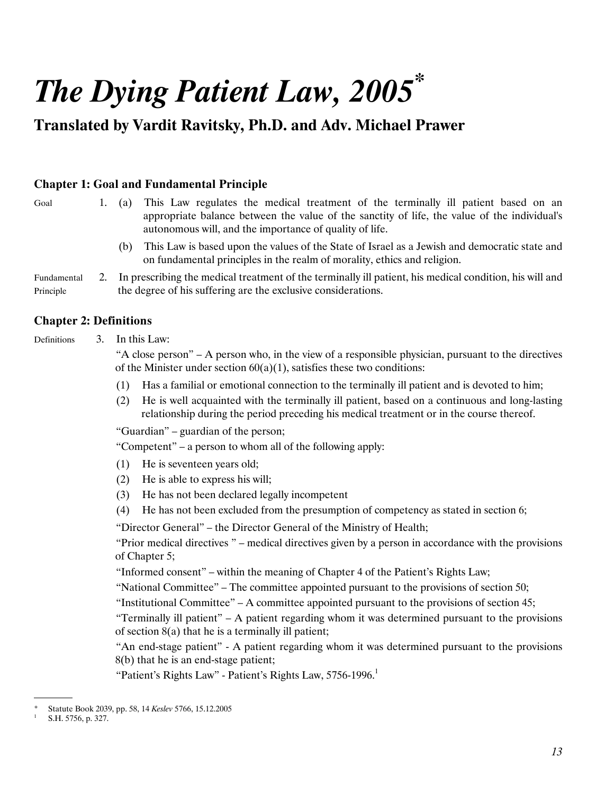# The Dying Patient Law, 2005*\**

## Translated by Vardit Ravitsky, Ph.D. and Adv. Michael Prawer

### Chapter 1: Goal and Fundamental Principle

(a) This Law regulates the medical treatment of the terminally ill patient based on an appropriate balance between the value of the sanctity of life, the value of the individual's autonomous will, and the importance of quality of life. Goal 1.

(b) This Law is based upon the values of the State of Israel as a Jewish and democratic state and on fundamental principles in the realm of morality, ethics and religion.

Fundamental Principle 2. In prescribing the medical treatment of the terminally ill patient, his medical condition, his will and the degree of his suffering are the exclusive considerations.

### Chapter 2: Definitions

**Definitions** 

3. In this Law:

"A close person" – A person who, in the view of a responsible physician, pursuant to the directives of the Minister under section  $60(a)(1)$ , satisfies these two conditions:

- (1) Has a familial or emotional connection to the terminally ill patient and is devoted to him;
- (2) He is well acquainted with the terminally ill patient, based on a continuous and long-lasting relationship during the period preceding his medical treatment or in the course thereof.

"Guardian" – guardian of the person;

"Competent" – a person to whom all of the following apply:

- (1) He is seventeen years old;
	- (2) He is able to express his will;
	- (3) He has not been declared legally incompetent
	- (4) He has not been excluded from the presumption of competency as stated in section 6;
	- "Director General" the Director General of the Ministry of Health;

"Prior medical directives " – medical directives given by a person in accordance with the provisions of Chapter 5;

"Informed consent" – within the meaning of Chapter 4 of the Patient's Rights Law;

"National Committee" – The committee appointed pursuant to the provisions of section 50;

"Institutional Committee" – A committee appointed pursuant to the provisions of section 45;

"Terminally ill patient"  $- A$  patient regarding whom it was determined pursuant to the provisions of section 8(a) that he is a terminally ill patient;

"An end-stage patient" - A patient regarding whom it was determined pursuant to the provisions 8(b) that he is an end-stage patient;

"Patient's Rights Law" - Patient's Rights Law, 5756-1996. $^1$ 

 <sup>.</sup> Statute Book 2039, pp. 58, 14 Keslev 5766, 15.12.2005

<sup>1</sup> S.H. 5756, p. 327.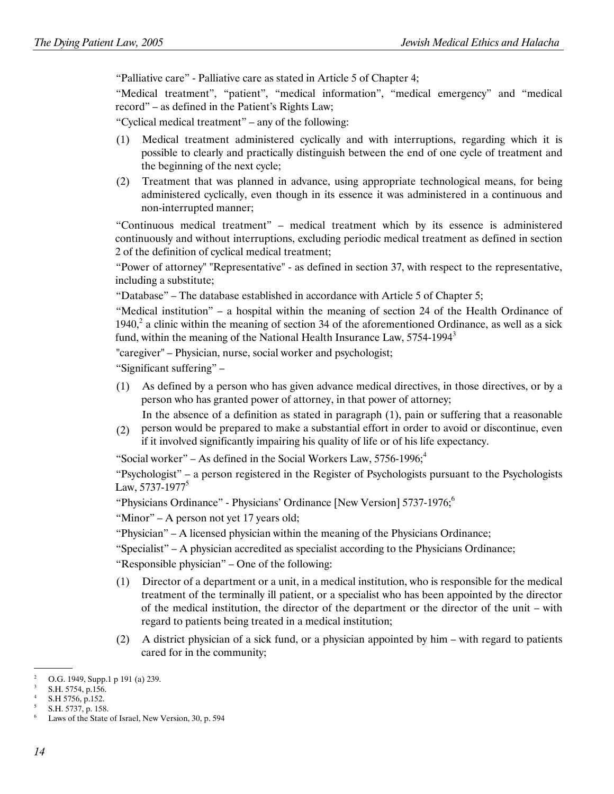"Palliative care" - Palliative care as stated in Article 5 of Chapter 4;

"Medical treatment", "patient", "medical information", "medical emergency" and "medical record" – as defined in the Patient's Rights Law;

"Cyclical medical treatment" – any of the following:

- (1) Medical treatment administered cyclically and with interruptions, regarding which it is possible to clearly and practically distinguish between the end of one cycle of treatment and the beginning of the next cycle;
- (2) Treatment that was planned in advance, using appropriate technological means, for being administered cyclically, even though in its essence it was administered in a continuous and non-interrupted manner;

 "Continuous medical treatment" – medical treatment which by its essence is administered continuously and without interruptions, excluding periodic medical treatment as defined in section 2 of the definition of cyclical medical treatment;

"Power of attorney" "Representative" - as defined in section 37, with respect to the representative, including a substitute;

"Database" – The database established in accordance with Article 5 of Chapter 5;

"Medical institution" – a hospital within the meaning of section 24 of the Health Ordinance of 1940, $^2$  a clinic within the meaning of section 34 of the aforementioned Ordinance, as well as a sick fund, within the meaning of the National Health Insurance Law, 5754-1994 $^3$ 

"caregiver" – Physician, nurse, social worker and psychologist;

"Significant suffering" –

 (1) As defined by a person who has given advance medical directives, in those directives, or by a person who has granted power of attorney, in that power of attorney;

In the absence of a definition as stated in paragraph (1), pain or suffering that a reasonable

 $(2)$ person would be prepared to make a substantial effort in order to avoid or discontinue, even if it involved significantly impairing his quality of life or of his life expectancy.

"Social worker" – As defined in the Social Workers Law,  $5756-1996$ ;<sup>4</sup>

"Psychologist" – a person registered in the Register of Psychologists pursuant to the Psychologists Law, 5737-1977<sup>5</sup>

"Physicians Ordinance" - Physicians' Ordinance [New Version] 5737-1976;<sup>6</sup>

"Minor" – A person not yet 17 years old;

"Physician" – A licensed physician within the meaning of the Physicians Ordinance;

"Specialist" – A physician accredited as specialist according to the Physicians Ordinance;

"Responsible physician" – One of the following:

- (1) Director of a department or a unit, in a medical institution, who is responsible for the medical treatment of the terminally ill patient, or a specialist who has been appointed by the director of the medical institution, the director of the department or the director of the unit – with regard to patients being treated in a medical institution;
- (2) A district physician of a sick fund, or a physician appointed by him with regard to patients cared for in the community;

 <sup>.</sup> 2 O.G. 1949, Supp.1 p 191 (a) 239.

<sup>3</sup> S.H. 5754, p.156.

<sup>4</sup> S.H 5756, p.152.

<sup>5</sup> S.H. 5737, p. 158.

<sup>6</sup> Laws of the State of Israel, New Version, 30, p. 594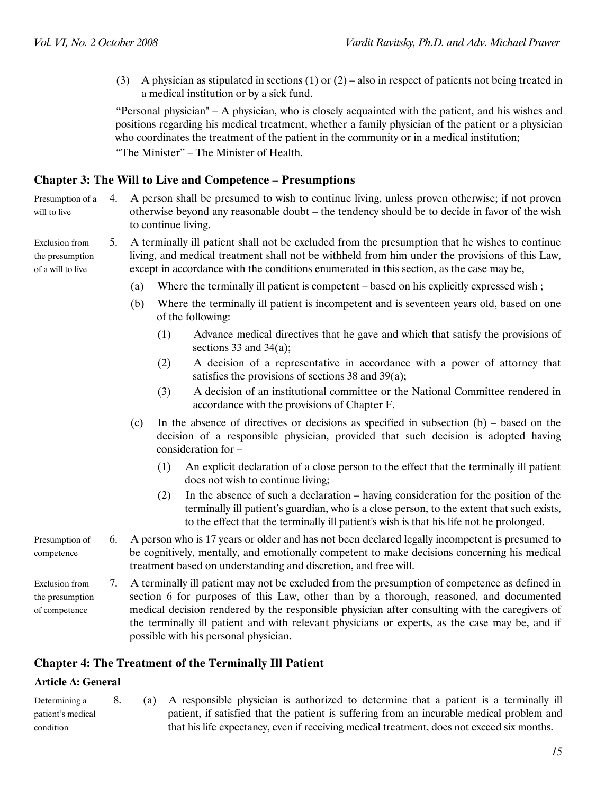(3) A physician as stipulated in sections (1) or (2) – also in respect of patients not being treated in a medical institution or by a sick fund.

 "Personal physician" – A physician, who is closely acquainted with the patient, and his wishes and positions regarding his medical treatment, whether a family physician of the patient or a physician who coordinates the treatment of the patient in the community or in a medical institution; "The Minister" – The Minister of Health.

#### Chapter 3: The Will to Live and Competence – Presumptions

Presumption of a will to live 4. A person shall be presumed to wish to continue living, unless proven otherwise; if not proven otherwise beyond any reasonable doubt – the tendency should be to decide in favor of the wish to continue living.

- 5. A terminally ill patient shall not be excluded from the presumption that he wishes to continue living, and medical treatment shall not be withheld from him under the provisions of this Law, except in accordance with the conditions enumerated in this section, as the case may be,
	- (a) Where the terminally ill patient is competent based on his explicitly expressed wish ;
	- (b) Where the terminally ill patient is incompetent and is seventeen years old, based on one of the following:
		- (1) Advance medical directives that he gave and which that satisfy the provisions of sections 33 and 34(a);
		- (2) A decision of a representative in accordance with a power of attorney that satisfies the provisions of sections 38 and 39(a);
		- (3) A decision of an institutional committee or the National Committee rendered in accordance with the provisions of Chapter F.
	- (c) In the absence of directives or decisions as specified in subsection (b) based on the decision of a responsible physician, provided that such decision is adopted having consideration for –
		- (1) An explicit declaration of a close person to the effect that the terminally ill patient does not wish to continue living;
		- (2) In the absence of such a declaration – having consideration for the position of the terminally ill patient's guardian, who is a close person, to the extent that such exists, to the effect that the terminally ill patient's wish is that his life not be prolonged.
- Presumption of competence 6. A person who is 17 years or older and has not been declared legally incompetent is presumed to be cognitively, mentally, and emotionally competent to make decisions concerning his medical treatment based on understanding and discretion, and free will.

Exclusion from the presumption of competence 7. A terminally ill patient may not be excluded from the presumption of competence as defined in section 6 for purposes of this Law, other than by a thorough, reasoned, and documented medical decision rendered by the responsible physician after consulting with the caregivers of the terminally ill patient and with relevant physicians or experts, as the case may be, and if possible with his personal physician.

#### Chapter 4: The Treatment of the Terminally Ill Patient

#### Article A: General

Determining a patient's medical condition 8. (a) A responsible physician is authorized to determine that a patient is a terminally ill patient, if satisfied that the patient is suffering from an incurable medical problem and that his life expectancy, even if receiving medical treatment, does not exceed six months.

Exclusion from the presumption of a will to live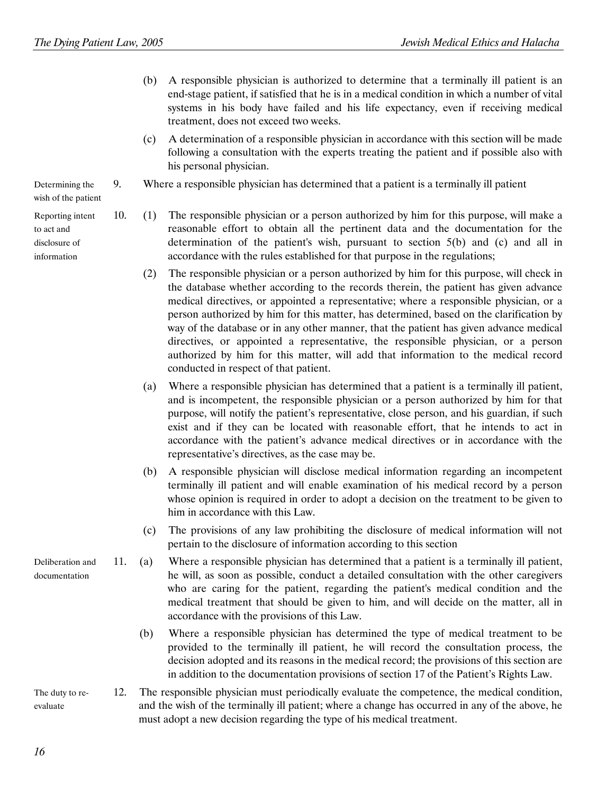- (b) A responsible physician is authorized to determine that a terminally ill patient is an end-stage patient, if satisfied that he is in a medical condition in which a number of vital systems in his body have failed and his life expectancy, even if receiving medical treatment, does not exceed two weeks.
- (c) A determination of a responsible physician in accordance with this section will be made following a consultation with the experts treating the patient and if possible also with his personal physician.
- 9. Where a responsible physician has determined that a patient is a terminally ill patient
- 10. (1) The responsible physician or a person authorized by him for this purpose, will make a reasonable effort to obtain all the pertinent data and the documentation for the determination of the patient's wish, pursuant to section 5(b) and (c) and all in accordance with the rules established for that purpose in the regulations;
	- (2) The responsible physician or a person authorized by him for this purpose, will check in the database whether according to the records therein, the patient has given advance medical directives, or appointed a representative; where a responsible physician, or a person authorized by him for this matter, has determined, based on the clarification by way of the database or in any other manner, that the patient has given advance medical directives, or appointed a representative, the responsible physician, or a person authorized by him for this matter, will add that information to the medical record conducted in respect of that patient.
	- (a) Where a responsible physician has determined that a patient is a terminally ill patient, and is incompetent, the responsible physician or a person authorized by him for that purpose, will notify the patient's representative, close person, and his guardian, if such exist and if they can be located with reasonable effort, that he intends to act in accordance with the patient's advance medical directives or in accordance with the representative's directives, as the case may be.
	- (b) A responsible physician will disclose medical information regarding an incompetent terminally ill patient and will enable examination of his medical record by a person whose opinion is required in order to adopt a decision on the treatment to be given to him in accordance with this Law.
	- (c) The provisions of any law prohibiting the disclosure of medical information will not pertain to the disclosure of information according to this section
- Deliberation and documentation 11. (a) Where a responsible physician has determined that a patient is a terminally ill patient, he will, as soon as possible, conduct a detailed consultation with the other caregivers who are caring for the patient, regarding the patient's medical condition and the medical treatment that should be given to him, and will decide on the matter, all in accordance with the provisions of this Law.
	- (b) Where a responsible physician has determined the type of medical treatment to be provided to the terminally ill patient, he will record the consultation process, the decision adopted and its reasons in the medical record; the provisions of this section are in addition to the documentation provisions of section 17 of the Patient's Rights Law.
- The duty to reevaluate 12. The responsible physician must periodically evaluate the competence, the medical condition, and the wish of the terminally ill patient; where a change has occurred in any of the above, he must adopt a new decision regarding the type of his medical treatment.

Determining the wish of the patient

Reporting intent to act and disclosure of information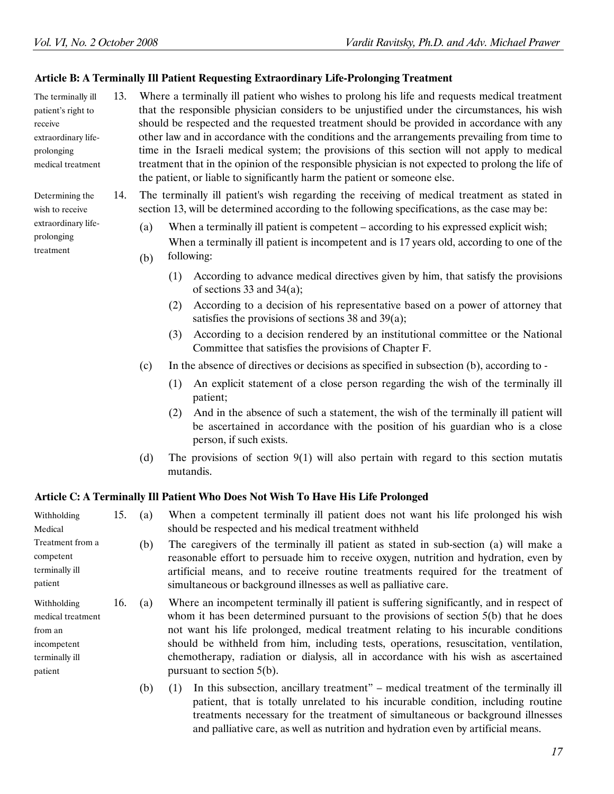Determining the wish to receive extraordinary lifeprolonging treatment

#### Article B: A Terminally Ill Patient Requesting Extraordinary Life-Prolonging Treatment

The terminally ill patient's right to receive extraordinary lifeprolonging medical treatment 13. Where a terminally ill patient who wishes to prolong his life and requests medical treatment that the responsible physician considers to be unjustified under the circumstances, his wish should be respected and the requested treatment should be provided in accordance with any other law and in accordance with the conditions and the arrangements prevailing from time to time in the Israeli medical system; the provisions of this section will not apply to medical treatment that in the opinion of the responsible physician is not expected to prolong the life of the patient, or liable to significantly harm the patient or someone else.

> 14. The terminally ill patient's wish regarding the receiving of medical treatment as stated in section 13, will be determined according to the following specifications, as the case may be:

 (a) When a terminally ill patient is competent – according to his expressed explicit wish;

(b) When a terminally ill patient is incompetent and is 17 years old, according to one of the following:

- (1) According to advance medical directives given by him, that satisfy the provisions of sections 33 and 34(a);
	- (2) According to a decision of his representative based on a power of attorney that satisfies the provisions of sections 38 and 39(a);
	- (3) According to a decision rendered by an institutional committee or the National Committee that satisfies the provisions of Chapter F.
	- (c) In the absence of directives or decisions as specified in subsection (b), according to -
- (1) An explicit statement of a close person regarding the wish of the terminally ill patient;
	- (2) And in the absence of such a statement, the wish of the terminally ill patient will be ascertained in accordance with the position of his guardian who is a close person, if such exists.

and palliative care, as well as nutrition and hydration even by artificial means.

(d) The provisions of section  $9(1)$  will also pertain with regard to this section mutatis mutandis.

#### Article C: A Terminally Ill Patient Who Does Not Wish To Have His Life Prolonged

| Withholding<br>Medical                                                                  | 15. | (a) | When a competent terminally ill patient does not want his life prolonged his wish<br>should be respected and his medical treatment withheld                                                                                                                                                                                                                                                                                                                                               |
|-----------------------------------------------------------------------------------------|-----|-----|-------------------------------------------------------------------------------------------------------------------------------------------------------------------------------------------------------------------------------------------------------------------------------------------------------------------------------------------------------------------------------------------------------------------------------------------------------------------------------------------|
| Treatment from a<br>competent<br>terminally ill<br>patient                              |     | (b) | The caregivers of the terminally ill patient as stated in sub-section (a) will make a<br>reasonable effort to persuade him to receive oxygen, nutrition and hydration, even by<br>artificial means, and to receive routine treatments required for the treatment of<br>simultaneous or background illnesses as well as palliative care.                                                                                                                                                   |
| Withholding<br>medical treatment<br>from an<br>incompetent<br>terminally ill<br>patient | 16. | (a) | Where an incompetent terminally ill patient is suffering significantly, and in respect of<br>whom it has been determined pursuant to the provisions of section $5(b)$ that he does<br>not want his life prolonged, medical treatment relating to his incurable conditions<br>should be withheld from him, including tests, operations, resuscitation, ventilation,<br>chemotherapy, radiation or dialysis, all in accordance with his wish as ascertained<br>pursuant to section $5(b)$ . |
|                                                                                         |     | (b) | In this subsection, ancillary treatment" – medical treatment of the terminally ill<br>(1)<br>patient, that is totally unrelated to his incurable condition, including routine<br>treatments necessary for the treatment of simultaneous or background illnesses                                                                                                                                                                                                                           |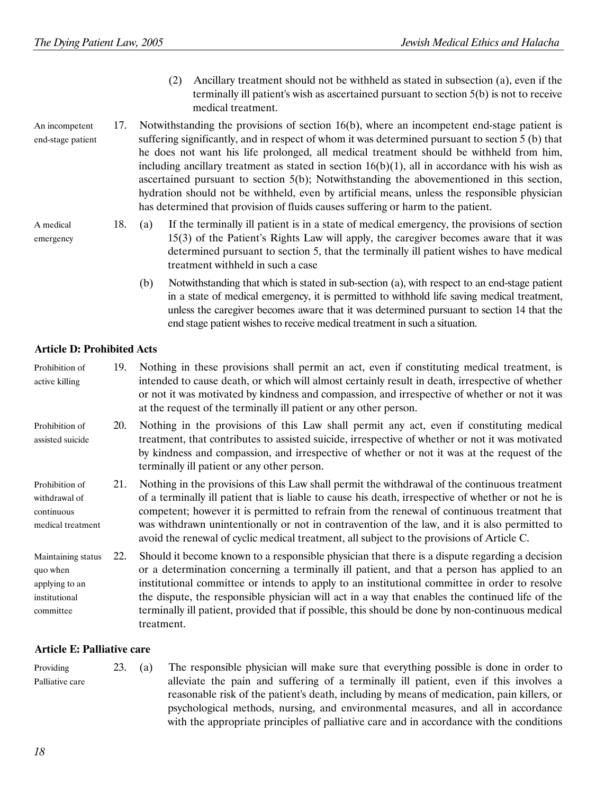- (2) Ancillary treatment should not be withheld as stated in subsection (a), even if the terminally ill patient's wish as ascertained pursuant to section 5(b) is not to receive medical treatment.
- An incompetent end-stage patient 17. Notwithstanding the provisions of section 16(b), where an incompetent end-stage patient is suffering significantly, and in respect of whom it was determined pursuant to section 5 (b) that he does not want his life prolonged, all medical treatment should be withheld from him, including ancillary treatment as stated in section  $16(b)(1)$ , all in accordance with his wish as ascertained pursuant to section 5(b); Notwithstanding the abovementioned in this section, hydration should not be withheld, even by artificial means, unless the responsible physician has determined that provision of fluids causes suffering or harm to the patient.
	- 18. (a) If the terminally ill patient is in a state of medical emergency, the provisions of section 15(3) of the Patient's Rights Law will apply, the caregiver becomes aware that it was determined pursuant to section 5, that the terminally ill patient wishes to have medical treatment withheld in such a case
		- (b) Notwithstanding that which is stated in sub-section (a), with respect to an end-stage patient in a state of medical emergency, it is permitted to withhold life saving medical treatment, unless the caregiver becomes aware that it was determined pursuant to section 14 that the end stage patient wishes to receive medical treatment in such a situation.

#### Article D: Prohibited Acts

A medical emergency

| Prohibition of<br>active killing                                               | 19. | Nothing in these provisions shall permit an act, even if constituting medical treatment, is<br>intended to cause death, or which will almost certainly result in death, irrespective of whether<br>or not it was motivated by kindness and compassion, and irrespective of whether or not it was<br>at the request of the terminally ill patient or any other person.                                                                                                                                               |
|--------------------------------------------------------------------------------|-----|---------------------------------------------------------------------------------------------------------------------------------------------------------------------------------------------------------------------------------------------------------------------------------------------------------------------------------------------------------------------------------------------------------------------------------------------------------------------------------------------------------------------|
| Prohibition of<br>assisted suicide                                             | 20. | Nothing in the provisions of this Law shall permit any act, even if constituting medical<br>treatment, that contributes to assisted suicide, irrespective of whether or not it was motivated<br>by kindness and compassion, and irrespective of whether or not it was at the request of the<br>terminally ill patient or any other person.                                                                                                                                                                          |
| Prohibition of<br>withdrawal of<br>continuous<br>medical treatment             | 21. | Nothing in the provisions of this Law shall permit the withdrawal of the continuous treatment<br>of a terminally ill patient that is liable to cause his death, irrespective of whether or not he is<br>competent; however it is permitted to refrain from the renewal of continuous treatment that<br>was withdrawn unintentionally or not in contravention of the law, and it is also permitted to<br>avoid the renewal of cyclic medical treatment, all subject to the provisions of Article C.                  |
| Maintaining status<br>quo when<br>applying to an<br>institutional<br>committee | 22. | Should it become known to a responsible physician that there is a dispute regarding a decision<br>or a determination concerning a terminally ill patient, and that a person has applied to an<br>institutional committee or intends to apply to an institutional committee in order to resolve<br>the dispute, the responsible physician will act in a way that enables the continued life of the<br>terminally ill patient, provided that if possible, this should be done by non-continuous medical<br>treatment. |

#### Article E: Palliative care

| Providing       | 23. | (a) | The responsible physician will make sure that everything possible is done in order to      |
|-----------------|-----|-----|--------------------------------------------------------------------------------------------|
| Palliative care |     |     | alleviate the pain and suffering of a terminally ill patient, even if this involves a      |
|                 |     |     | reasonable risk of the patient's death, including by means of medication, pain killers, or |
|                 |     |     | psychological methods, nursing, and environmental measures, and all in accordance          |
|                 |     |     | with the appropriate principles of palliative care and in accordance with the conditions   |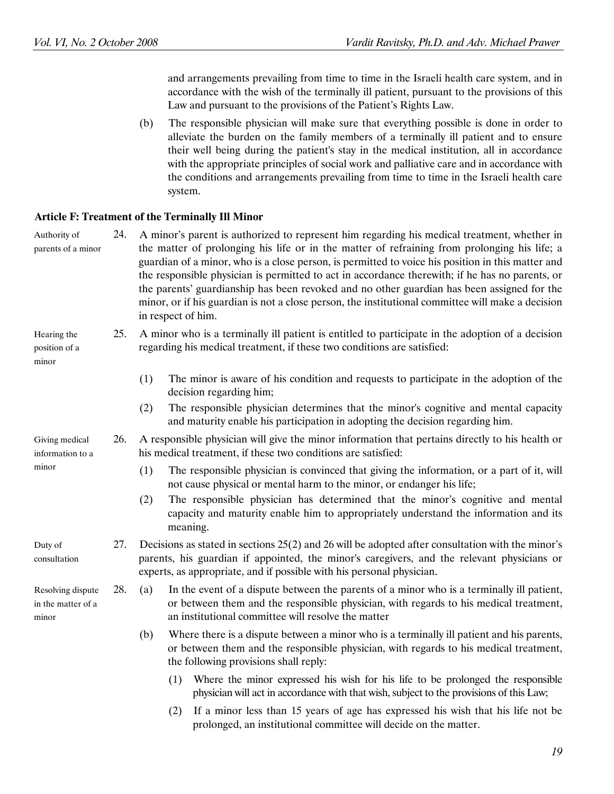and arrangements prevailing from time to time in the Israeli health care system, and in accordance with the wish of the terminally ill patient, pursuant to the provisions of this Law and pursuant to the provisions of the Patient's Rights Law.

 (b) The responsible physician will make sure that everything possible is done in order to alleviate the burden on the family members of a terminally ill patient and to ensure their well being during the patient's stay in the medical institution, all in accordance with the appropriate principles of social work and palliative care and in accordance with the conditions and arrangements prevailing from time to time in the Israeli health care system.

#### Article F: Treatment of the Terminally Ill Minor

| Authority of<br>parents of a minor               | 24. | A minor's parent is authorized to represent him regarding his medical treatment, whether in<br>the matter of prolonging his life or in the matter of refraining from prolonging his life; a<br>guardian of a minor, who is a close person, is permitted to voice his position in this matter and<br>the responsible physician is permitted to act in accordance therewith; if he has no parents, or<br>the parents' guardianship has been revoked and no other guardian has been assigned for the<br>minor, or if his guardian is not a close person, the institutional committee will make a decision<br>in respect of him. |  |  |  |
|--------------------------------------------------|-----|------------------------------------------------------------------------------------------------------------------------------------------------------------------------------------------------------------------------------------------------------------------------------------------------------------------------------------------------------------------------------------------------------------------------------------------------------------------------------------------------------------------------------------------------------------------------------------------------------------------------------|--|--|--|
| Hearing the<br>position of a<br>minor            | 25. | A minor who is a terminally ill patient is entitled to participate in the adoption of a decision<br>regarding his medical treatment, if these two conditions are satisfied:                                                                                                                                                                                                                                                                                                                                                                                                                                                  |  |  |  |
|                                                  |     | (1)<br>The minor is aware of his condition and requests to participate in the adoption of the<br>decision regarding him;                                                                                                                                                                                                                                                                                                                                                                                                                                                                                                     |  |  |  |
|                                                  |     | The responsible physician determines that the minor's cognitive and mental capacity<br>(2)<br>and maturity enable his participation in adopting the decision regarding him.                                                                                                                                                                                                                                                                                                                                                                                                                                                  |  |  |  |
| Giving medical<br>information to a               | 26. | A responsible physician will give the minor information that pertains directly to his health or<br>his medical treatment, if these two conditions are satisfied:                                                                                                                                                                                                                                                                                                                                                                                                                                                             |  |  |  |
| minor                                            |     | The responsible physician is convinced that giving the information, or a part of it, will<br>(1)<br>not cause physical or mental harm to the minor, or endanger his life;<br>The responsible physician has determined that the minor's cognitive and mental<br>(2)<br>capacity and maturity enable him to appropriately understand the information and its<br>meaning.                                                                                                                                                                                                                                                       |  |  |  |
| Duty of<br>consultation                          | 27. | Decisions as stated in sections 25(2) and 26 will be adopted after consultation with the minor's<br>parents, his guardian if appointed, the minor's caregivers, and the relevant physicians or<br>experts, as appropriate, and if possible with his personal physician.                                                                                                                                                                                                                                                                                                                                                      |  |  |  |
| Resolving dispute<br>in the matter of a<br>minor | 28. | In the event of a dispute between the parents of a minor who is a terminally ill patient,<br>(a)<br>or between them and the responsible physician, with regards to his medical treatment,<br>an institutional committee will resolve the matter                                                                                                                                                                                                                                                                                                                                                                              |  |  |  |
|                                                  |     | Where there is a dispute between a minor who is a terminally ill patient and his parents,<br>(b)<br>or between them and the responsible physician, with regards to his medical treatment,<br>the following provisions shall reply:                                                                                                                                                                                                                                                                                                                                                                                           |  |  |  |
|                                                  |     | Where the minor expressed his wish for his life to be prolonged the responsible<br>(1)<br>physician will act in accordance with that wish, subject to the provisions of this Law;                                                                                                                                                                                                                                                                                                                                                                                                                                            |  |  |  |
|                                                  |     | If a minor less than 15 years of age has expressed his wish that his life not be<br>(2)                                                                                                                                                                                                                                                                                                                                                                                                                                                                                                                                      |  |  |  |

prolonged, an institutional committee will decide on the matter.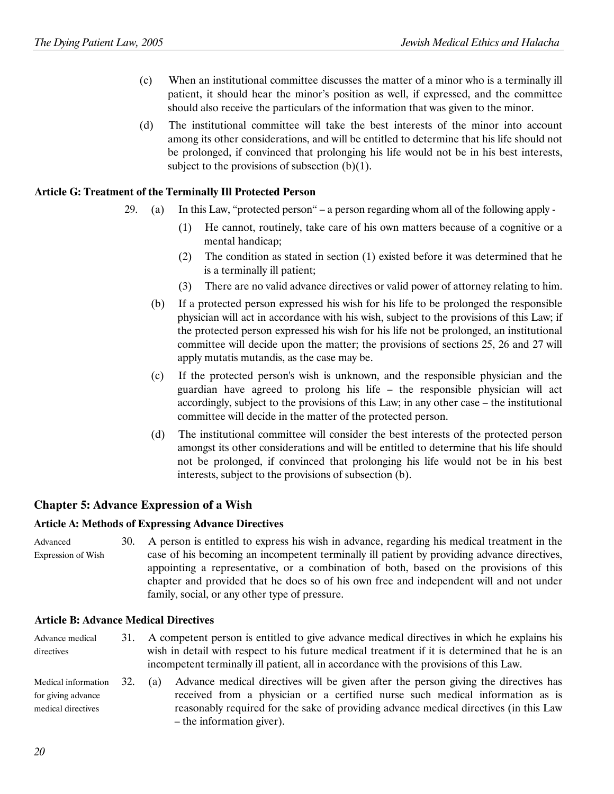- (c) When an institutional committee discusses the matter of a minor who is a terminally ill patient, it should hear the minor's position as well, if expressed, and the committee should also receive the particulars of the information that was given to the minor.
- (d) The institutional committee will take the best interests of the minor into account among its other considerations, and will be entitled to determine that his life should not be prolonged, if convinced that prolonging his life would not be in his best interests, subject to the provisions of subsection  $(b)(1)$ .

#### Article G: Treatment of the Terminally Ill Protected Person

- 29. (a) In this Law, "protected person" a person regarding whom all of the following apply
	- (1) He cannot, routinely, take care of his own matters because of a cognitive or a mental handicap;
	- (2) The condition as stated in section (1) existed before it was determined that he is a terminally ill patient;
	- (3) There are no valid advance directives or valid power of attorney relating to him.
	- (b) If a protected person expressed his wish for his life to be prolonged the responsible physician will act in accordance with his wish, subject to the provisions of this Law; if the protected person expressed his wish for his life not be prolonged, an institutional committee will decide upon the matter; the provisions of sections 25, 26 and 27 will apply mutatis mutandis, as the case may be.
	- (c) If the protected person's wish is unknown, and the responsible physician and the guardian have agreed to prolong his life – the responsible physician will act accordingly, subject to the provisions of this Law; in any other case – the institutional committee will decide in the matter of the protected person.
	- (d) The institutional committee will consider the best interests of the protected person amongst its other considerations and will be entitled to determine that his life should not be prolonged, if convinced that prolonging his life would not be in his best interests, subject to the provisions of subsection (b).

#### Chapter 5: Advance Expression of a Wish

#### Article A: Methods of Expressing Advance Directives

Advanced Expression of Wish 30. A person is entitled to express his wish in advance, regarding his medical treatment in the case of his becoming an incompetent terminally ill patient by providing advance directives, appointing a representative, or a combination of both, based on the provisions of this chapter and provided that he does so of his own free and independent will and not under family, social, or any other type of pressure.

#### Article B: Advance Medical Directives

Advance medical directives 31. A competent person is entitled to give advance medical directives in which he explains his wish in detail with respect to his future medical treatment if it is determined that he is an incompetent terminally ill patient, all in accordance with the provisions of this Law. Medical information for giving advance medical directives 32. (a) Advance medical directives will be given after the person giving the directives has received from a physician or a certified nurse such medical information as is reasonably required for the sake of providing advance medical directives (in this Law

– the information giver).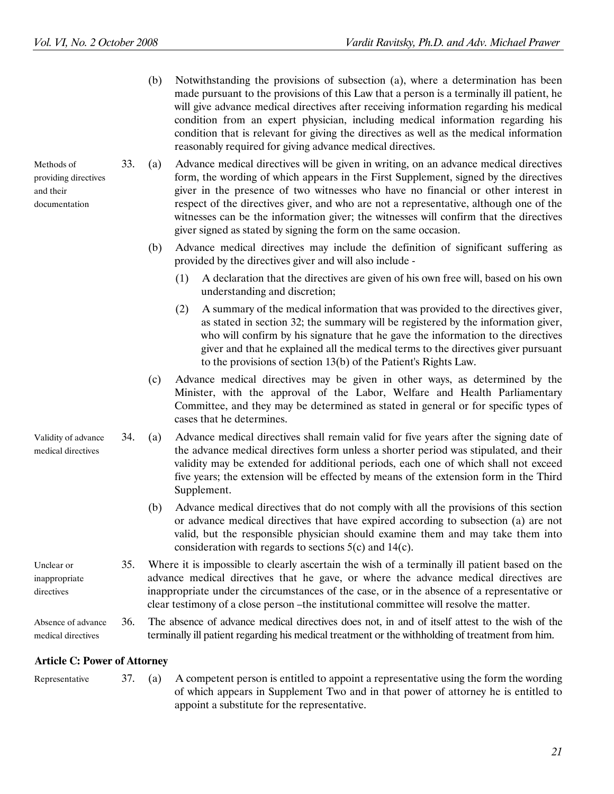Methods of providing directives

and their documentation  (b) Notwithstanding the provisions of subsection (a), where a determination has been made pursuant to the provisions of this Law that a person is a terminally ill patient, he will give advance medical directives after receiving information regarding his medical condition from an expert physician, including medical information regarding his condition that is relevant for giving the directives as well as the medical information reasonably required for giving advance medical directives.

33. (a) Advance medical directives will be given in writing, on an advance medical directives form, the wording of which appears in the First Supplement, signed by the directives giver in the presence of two witnesses who have no financial or other interest in respect of the directives giver, and who are not a representative, although one of the witnesses can be the information giver; the witnesses will confirm that the directives giver signed as stated by signing the form on the same occasion.

- (b) Advance medical directives may include the definition of significant suffering as provided by the directives giver and will also include -
	- (1) A declaration that the directives are given of his own free will, based on his own understanding and discretion;
	- (2) A summary of the medical information that was provided to the directives giver, as stated in section 32; the summary will be registered by the information giver, who will confirm by his signature that he gave the information to the directives giver and that he explained all the medical terms to the directives giver pursuant to the provisions of section 13(b) of the Patient's Rights Law.
- (c) Advance medical directives may be given in other ways, as determined by the Minister, with the approval of the Labor, Welfare and Health Parliamentary Committee, and they may be determined as stated in general or for specific types of cases that he determines.
- Validity of advance medical directives 34. (a) Advance medical directives shall remain valid for five years after the signing date of the advance medical directives form unless a shorter period was stipulated, and their validity may be extended for additional periods, each one of which shall not exceed five years; the extension will be effected by means of the extension form in the Third Supplement.
	- (b) Advance medical directives that do not comply with all the provisions of this section or advance medical directives that have expired according to subsection (a) are not valid, but the responsible physician should examine them and may take them into consideration with regards to sections 5(c) and 14(c).

Unclear or inappropriate directives 35. Where it is impossible to clearly ascertain the wish of a terminally ill patient based on the advance medical directives that he gave, or where the advance medical directives are inappropriate under the circumstances of the case, or in the absence of a representative or clear testimony of a close person –the institutional committee will resolve the matter.

Absence of advance medical directives 36. The absence of advance medical directives does not, in and of itself attest to the wish of the terminally ill patient regarding his medical treatment or the withholding of treatment from him.

#### Article C: Power of Attorney

Representative 37. (a) A competent person is entitled to appoint a representative using the form the wording of which appears in Supplement Two and in that power of attorney he is entitled to appoint a substitute for the representative.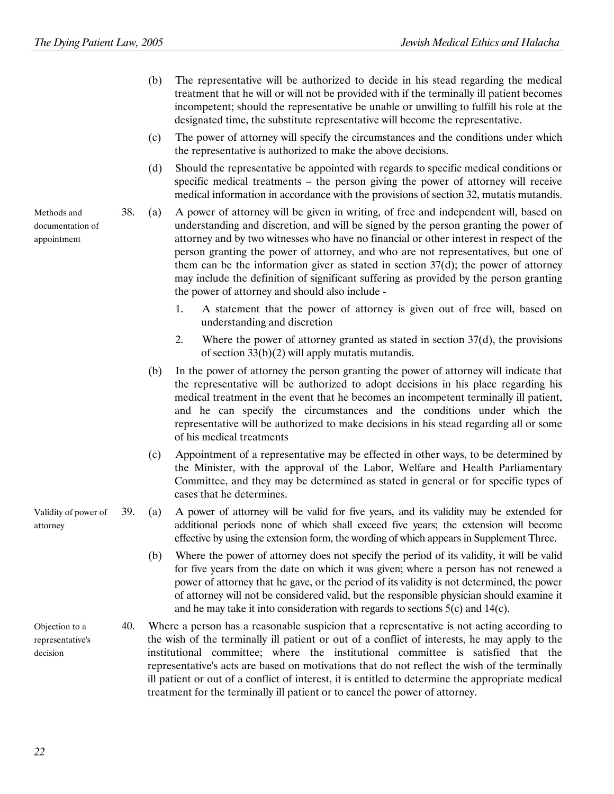- (b) The representative will be authorized to decide in his stead regarding the medical treatment that he will or will not be provided with if the terminally ill patient becomes incompetent; should the representative be unable or unwilling to fulfill his role at the designated time, the substitute representative will become the representative.
- (c) The power of attorney will specify the circumstances and the conditions under which the representative is authorized to make the above decisions.
- (d) Should the representative be appointed with regards to specific medical conditions or specific medical treatments – the person giving the power of attorney will receive medical information in accordance with the provisions of section 32, mutatis mutandis.
- 38. (a) A power of attorney will be given in writing, of free and independent will, based on understanding and discretion, and will be signed by the person granting the power of attorney and by two witnesses who have no financial or other interest in respect of the person granting the power of attorney, and who are not representatives, but one of them can be the information giver as stated in section  $37(d)$ ; the power of attorney may include the definition of significant suffering as provided by the person granting the power of attorney and should also include -
	- 1. A statement that the power of attorney is given out of free will, based on understanding and discretion
	- 2. Where the power of attorney granted as stated in section 37(d), the provisions of section 33(b)(2) will apply mutatis mutandis.
	- (b) In the power of attorney the person granting the power of attorney will indicate that the representative will be authorized to adopt decisions in his place regarding his medical treatment in the event that he becomes an incompetent terminally ill patient, and he can specify the circumstances and the conditions under which the representative will be authorized to make decisions in his stead regarding all or some of his medical treatments
	- (c) Appointment of a representative may be effected in other ways, to be determined by the Minister, with the approval of the Labor, Welfare and Health Parliamentary Committee, and they may be determined as stated in general or for specific types of cases that he determines.
- 39. (a) A power of attorney will be valid for five years, and its validity may be extended for additional periods none of which shall exceed five years; the extension will become effective by using the extension form, the wording of which appears in Supplement Three.
	- (b) Where the power of attorney does not specify the period of its validity, it will be valid for five years from the date on which it was given; where a person has not renewed a power of attorney that he gave, or the period of its validity is not determined, the power of attorney will not be considered valid, but the responsible physician should examine it and he may take it into consideration with regards to sections 5(c) and 14(c).
- Objection to a representative's decision 40. Where a person has a reasonable suspicion that a representative is not acting according to the wish of the terminally ill patient or out of a conflict of interests, he may apply to the institutional committee; where the institutional committee is satisfied that the representative's acts are based on motivations that do not reflect the wish of the terminally ill patient or out of a conflict of interest, it is entitled to determine the appropriate medical treatment for the terminally ill patient or to cancel the power of attorney.

Methods and documentation of appointment

Validity of power of

attorney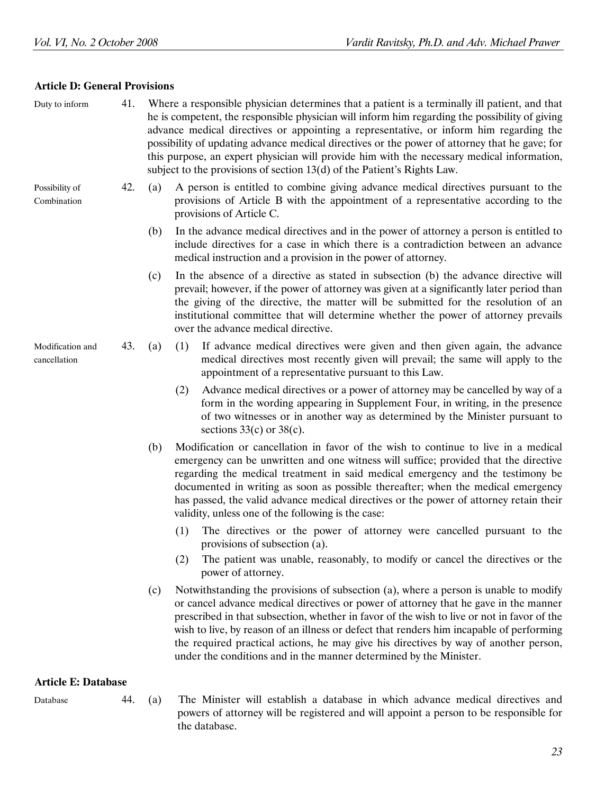#### Article D: General Provisions

| Duty to inform                   | 41. | Where a responsible physician determines that a patient is a terminally ill patient, and that<br>he is competent, the responsible physician will inform him regarding the possibility of giving<br>advance medical directives or appointing a representative, or inform him regarding the<br>possibility of updating advance medical directives or the power of attorney that he gave; for<br>this purpose, an expert physician will provide him with the necessary medical information,<br>subject to the provisions of section 13(d) of the Patient's Rights Law. |                                                                                                                                                                                                                                                                                                                                                                                                                                                                                                                                      |  |
|----------------------------------|-----|---------------------------------------------------------------------------------------------------------------------------------------------------------------------------------------------------------------------------------------------------------------------------------------------------------------------------------------------------------------------------------------------------------------------------------------------------------------------------------------------------------------------------------------------------------------------|--------------------------------------------------------------------------------------------------------------------------------------------------------------------------------------------------------------------------------------------------------------------------------------------------------------------------------------------------------------------------------------------------------------------------------------------------------------------------------------------------------------------------------------|--|
| Possibility of<br>Combination    | 42. | (a)                                                                                                                                                                                                                                                                                                                                                                                                                                                                                                                                                                 | A person is entitled to combine giving advance medical directives pursuant to the<br>provisions of Article B with the appointment of a representative according to the<br>provisions of Article C.                                                                                                                                                                                                                                                                                                                                   |  |
|                                  |     | (b)                                                                                                                                                                                                                                                                                                                                                                                                                                                                                                                                                                 | In the advance medical directives and in the power of attorney a person is entitled to<br>include directives for a case in which there is a contradiction between an advance<br>medical instruction and a provision in the power of attorney.                                                                                                                                                                                                                                                                                        |  |
|                                  |     | (c)                                                                                                                                                                                                                                                                                                                                                                                                                                                                                                                                                                 | In the absence of a directive as stated in subsection (b) the advance directive will<br>prevail; however, if the power of attorney was given at a significantly later period than<br>the giving of the directive, the matter will be submitted for the resolution of an<br>institutional committee that will determine whether the power of attorney prevails<br>over the advance medical directive.                                                                                                                                 |  |
| Modification and<br>cancellation | 43. | (a)                                                                                                                                                                                                                                                                                                                                                                                                                                                                                                                                                                 | If advance medical directives were given and then given again, the advance<br>(1)<br>medical directives most recently given will prevail; the same will apply to the<br>appointment of a representative pursuant to this Law.                                                                                                                                                                                                                                                                                                        |  |
|                                  |     |                                                                                                                                                                                                                                                                                                                                                                                                                                                                                                                                                                     | Advance medical directives or a power of attorney may be cancelled by way of a<br>(2)<br>form in the wording appearing in Supplement Four, in writing, in the presence<br>of two witnesses or in another way as determined by the Minister pursuant to<br>sections $33(c)$ or $38(c)$ .                                                                                                                                                                                                                                              |  |
|                                  |     | (b)                                                                                                                                                                                                                                                                                                                                                                                                                                                                                                                                                                 | Modification or cancellation in favor of the wish to continue to live in a medical<br>emergency can be unwritten and one witness will suffice; provided that the directive<br>regarding the medical treatment in said medical emergency and the testimony be<br>documented in writing as soon as possible thereafter; when the medical emergency<br>has passed, the valid advance medical directives or the power of attorney retain their<br>validity, unless one of the following is the case:                                     |  |
|                                  |     |                                                                                                                                                                                                                                                                                                                                                                                                                                                                                                                                                                     | The directives or the power of attorney were cancelled pursuant to the<br>(1)<br>provisions of subsection (a).                                                                                                                                                                                                                                                                                                                                                                                                                       |  |
|                                  |     |                                                                                                                                                                                                                                                                                                                                                                                                                                                                                                                                                                     | The patient was unable, reasonably, to modify or cancel the directives or the<br>(2)<br>power of attorney.                                                                                                                                                                                                                                                                                                                                                                                                                           |  |
|                                  |     | (c)                                                                                                                                                                                                                                                                                                                                                                                                                                                                                                                                                                 | Notwithstanding the provisions of subsection (a), where a person is unable to modify<br>or cancel advance medical directives or power of attorney that he gave in the manner<br>prescribed in that subsection, whether in favor of the wish to live or not in favor of the<br>wish to live, by reason of an illness or defect that renders him incapable of performing<br>the required practical actions, he may give his directives by way of another person,<br>under the conditions and in the manner determined by the Minister. |  |
| <b>Article E: Database</b>       |     |                                                                                                                                                                                                                                                                                                                                                                                                                                                                                                                                                                     |                                                                                                                                                                                                                                                                                                                                                                                                                                                                                                                                      |  |
| Database                         | 44. | (a)                                                                                                                                                                                                                                                                                                                                                                                                                                                                                                                                                                 | The Minister will establish a database in which advance medical directives and<br>powers of attorney will be registered and will appoint a person to be responsible for<br>the database.                                                                                                                                                                                                                                                                                                                                             |  |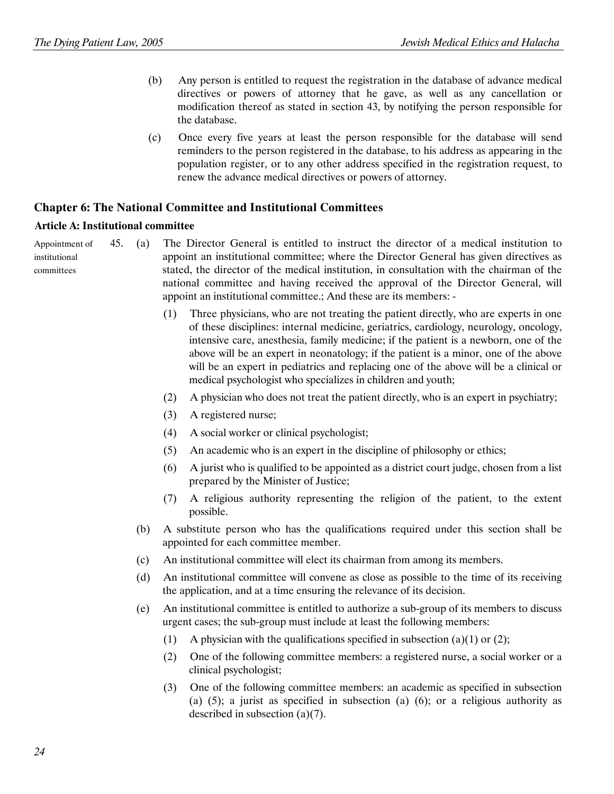- (b) Any person is entitled to request the registration in the database of advance medical directives or powers of attorney that he gave, as well as any cancellation or modification thereof as stated in section 43, by notifying the person responsible for the database.
- (c) Once every five years at least the person responsible for the database will send reminders to the person registered in the database, to his address as appearing in the population register, or to any other address specified in the registration request, to renew the advance medical directives or powers of attorney.

#### Chapter 6: The National Committee and Institutional Committees

#### Article A: Institutional committee

Appointment of institutional committees

45. (a) The Director General is entitled to instruct the director of a medical institution to appoint an institutional committee; where the Director General has given directives as stated, the director of the medical institution, in consultation with the chairman of the national committee and having received the approval of the Director General, will appoint an institutional committee.; And these are its members: -

- (1) Three physicians, who are not treating the patient directly, who are experts in one of these disciplines: internal medicine, geriatrics, cardiology, neurology, oncology, intensive care, anesthesia, family medicine; if the patient is a newborn, one of the above will be an expert in neonatology; if the patient is a minor, one of the above will be an expert in pediatrics and replacing one of the above will be a clinical or medical psychologist who specializes in children and youth;
- (2) A physician who does not treat the patient directly, who is an expert in psychiatry;
- (3) A registered nurse;
- (4) A social worker or clinical psychologist;
- (5) An academic who is an expert in the discipline of philosophy or ethics;
- (6) A jurist who is qualified to be appointed as a district court judge, chosen from a list prepared by the Minister of Justice;
- (7) A religious authority representing the religion of the patient, to the extent possible.
- (b) A substitute person who has the qualifications required under this section shall be appointed for each committee member.
- (c) An institutional committee will elect its chairman from among its members.
- (d) An institutional committee will convene as close as possible to the time of its receiving the application, and at a time ensuring the relevance of its decision.
- (e) An institutional committee is entitled to authorize a sub-group of its members to discuss urgent cases; the sub-group must include at least the following members:
	- (1) A physician with the qualifications specified in subsection (a)(1) or (2);
	- (2) One of the following committee members: a registered nurse, a social worker or a clinical psychologist;
	- (3) One of the following committee members: an academic as specified in subsection (a)  $(5)$ ; a jurist as specified in subsection (a)  $(6)$ ; or a religious authority as described in subsection (a)(7).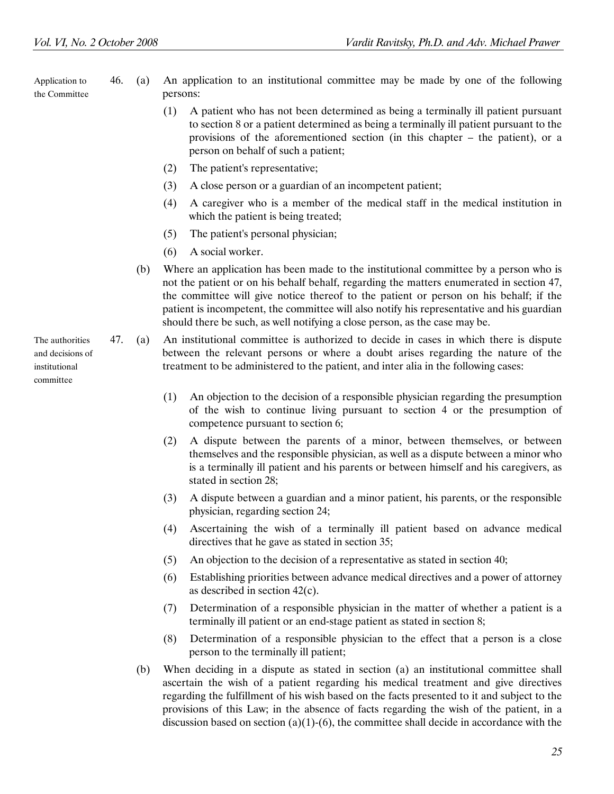Application to the Committee

- 46. (a) An application to an institutional committee may be made by one of the following persons:
	- (1) A patient who has not been determined as being a terminally ill patient pursuant to section 8 or a patient determined as being a terminally ill patient pursuant to the provisions of the aforementioned section (in this chapter – the patient), or a person on behalf of such a patient;
	- (2) The patient's representative;
	- (3) A close person or a guardian of an incompetent patient;
	- (4) A caregiver who is a member of the medical staff in the medical institution in which the patient is being treated;
	- (5) The patient's personal physician;
	- (6) A social worker.
	- (b) Where an application has been made to the institutional committee by a person who is not the patient or on his behalf behalf, regarding the matters enumerated in section 47, the committee will give notice thereof to the patient or person on his behalf; if the patient is incompetent, the committee will also notify his representative and his guardian should there be such, as well notifying a close person, as the case may be.
- 47. (a) An institutional committee is authorized to decide in cases in which there is dispute between the relevant persons or where a doubt arises regarding the nature of the treatment to be administered to the patient, and inter alia in the following cases:
	- (1) An objection to the decision of a responsible physician regarding the presumption of the wish to continue living pursuant to section 4 or the presumption of competence pursuant to section 6;
	- (2) A dispute between the parents of a minor, between themselves, or between themselves and the responsible physician, as well as a dispute between a minor who is a terminally ill patient and his parents or between himself and his caregivers, as stated in section 28;
	- (3) A dispute between a guardian and a minor patient, his parents, or the responsible physician, regarding section 24;
	- (4) Ascertaining the wish of a terminally ill patient based on advance medical directives that he gave as stated in section 35;
	- (5) An objection to the decision of a representative as stated in section 40;
	- (6) Establishing priorities between advance medical directives and a power of attorney as described in section 42(c).
	- (7) Determination of a responsible physician in the matter of whether a patient is a terminally ill patient or an end-stage patient as stated in section 8;
	- (8) Determination of a responsible physician to the effect that a person is a close person to the terminally ill patient;
	- (b) When deciding in a dispute as stated in section (a) an institutional committee shall ascertain the wish of a patient regarding his medical treatment and give directives regarding the fulfillment of his wish based on the facts presented to it and subject to the provisions of this Law; in the absence of facts regarding the wish of the patient, in a discussion based on section (a)(1)-(6), the committee shall decide in accordance with the

The authorities and decisions of institutional committee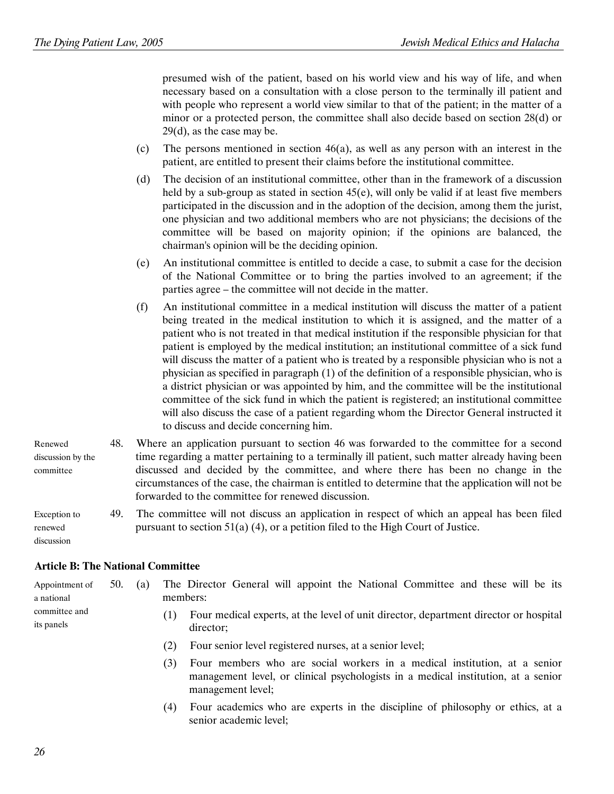presumed wish of the patient, based on his world view and his way of life, and when necessary based on a consultation with a close person to the terminally ill patient and with people who represent a world view similar to that of the patient; in the matter of a minor or a protected person, the committee shall also decide based on section 28(d) or 29(d), as the case may be.

- (c) The persons mentioned in section  $46(a)$ , as well as any person with an interest in the patient, are entitled to present their claims before the institutional committee.
- (d) The decision of an institutional committee, other than in the framework of a discussion held by a sub-group as stated in section 45(e), will only be valid if at least five members participated in the discussion and in the adoption of the decision, among them the jurist, one physician and two additional members who are not physicians; the decisions of the committee will be based on majority opinion; if the opinions are balanced, the chairman's opinion will be the deciding opinion.
- (e) An institutional committee is entitled to decide a case, to submit a case for the decision of the National Committee or to bring the parties involved to an agreement; if the parties agree – the committee will not decide in the matter.
- (f) An institutional committee in a medical institution will discuss the matter of a patient being treated in the medical institution to which it is assigned, and the matter of a patient who is not treated in that medical institution if the responsible physician for that patient is employed by the medical institution; an institutional committee of a sick fund will discuss the matter of a patient who is treated by a responsible physician who is not a physician as specified in paragraph (1) of the definition of a responsible physician, who is a district physician or was appointed by him, and the committee will be the institutional committee of the sick fund in which the patient is registered; an institutional committee will also discuss the case of a patient regarding whom the Director General instructed it to discuss and decide concerning him.

| Renewed                               | 48. | Where an application pursuant to section 46 was forwarded to the committee for a second                                                                                                                                                      |
|---------------------------------------|-----|----------------------------------------------------------------------------------------------------------------------------------------------------------------------------------------------------------------------------------------------|
| discussion by the                     |     | time regarding a matter pertaining to a terminally ill patient, such matter already having been                                                                                                                                              |
| committee                             |     | discussed and decided by the committee, and where there has been no change in the<br>circumstances of the case, the chairman is entitled to determine that the application will not be<br>forwarded to the committee for renewed discussion. |
| Exception to<br>renewed<br>discussion | 49. | The committee will not discuss an application in respect of which an appeal has been filed<br>pursuant to section $51(a)$ (4), or a petition filed to the High Court of Justice.                                                             |

#### Article B: The National Committee

| Appointment of              | 50. | (a) |     | The Director General will appoint the National Committee and these will be its                    |  |  |  |
|-----------------------------|-----|-----|-----|---------------------------------------------------------------------------------------------------|--|--|--|
| a national                  |     |     |     | members:                                                                                          |  |  |  |
| committee and<br>its panels |     |     |     | Four medical experts, at the level of unit director, department director or hospital<br>director; |  |  |  |
|                             |     |     | (2) | Four senior level registered nurses, at a senior level;                                           |  |  |  |
|                             |     |     |     | Four members who are social workers in a medical institution, at a senior                         |  |  |  |

management level; (4) Four academics who are experts in the discipline of philosophy or ethics, at a senior academic level;

management level, or clinical psychologists in a medical institution, at a senior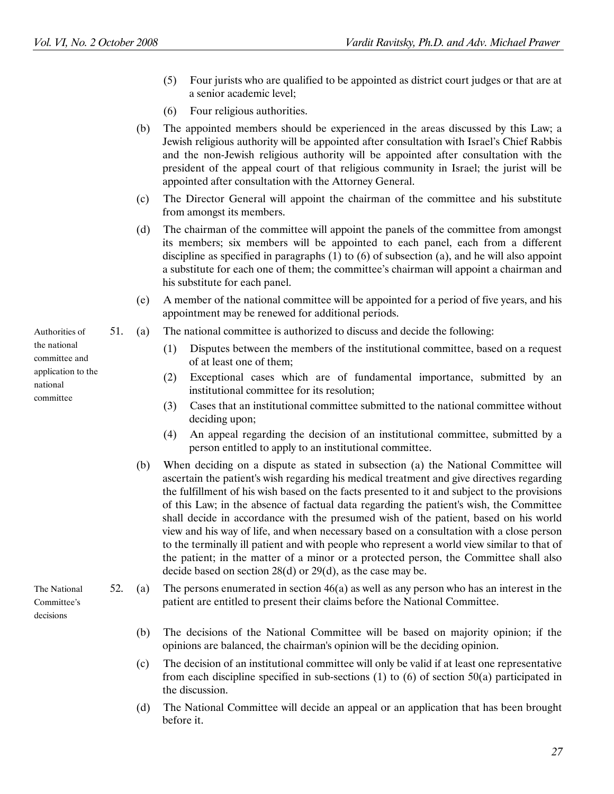- (5) Four jurists who are qualified to be appointed as district court judges or that are at a senior academic level;
- (6) Four religious authorities.
- (b) The appointed members should be experienced in the areas discussed by this Law; a Jewish religious authority will be appointed after consultation with Israel's Chief Rabbis and the non-Jewish religious authority will be appointed after consultation with the president of the appeal court of that religious community in Israel; the jurist will be appointed after consultation with the Attorney General.
- (c) The Director General will appoint the chairman of the committee and his substitute from amongst its members.
- (d) The chairman of the committee will appoint the panels of the committee from amongst its members; six members will be appointed to each panel, each from a different discipline as specified in paragraphs (1) to (6) of subsection (a), and he will also appoint a substitute for each one of them; the committee's chairman will appoint a chairman and his substitute for each panel.
- (e) A member of the national committee will be appointed for a period of five years, and his appointment may be renewed for additional periods.
- Authorities of 51. (a) The national committee is authorized to discuss and decide the following:
	- (1) Disputes between the members of the institutional committee, based on a request of at least one of them;
	- (2) Exceptional cases which are of fundamental importance, submitted by an institutional committee for its resolution;
	- (3) Cases that an institutional committee submitted to the national committee without deciding upon;
	- (4) An appeal regarding the decision of an institutional committee, submitted by a person entitled to apply to an institutional committee.
	- (b) When deciding on a dispute as stated in subsection (a) the National Committee will ascertain the patient's wish regarding his medical treatment and give directives regarding the fulfillment of his wish based on the facts presented to it and subject to the provisions of this Law; in the absence of factual data regarding the patient's wish, the Committee shall decide in accordance with the presumed wish of the patient, based on his world view and his way of life, and when necessary based on a consultation with a close person to the terminally ill patient and with people who represent a world view similar to that of the patient; in the matter of a minor or a protected person, the Committee shall also decide based on section 28(d) or 29(d), as the case may be.

52. (a) The persons enumerated in section 46(a) as well as any person who has an interest in the patient are entitled to present their claims before the National Committee.

- (b) The decisions of the National Committee will be based on majority opinion; if the opinions are balanced, the chairman's opinion will be the deciding opinion.
- (c) The decision of an institutional committee will only be valid if at least one representative from each discipline specified in sub-sections (1) to (6) of section 50(a) participated in the discussion.
- (d) The National Committee will decide an appeal or an application that has been brought before it.

the national committee and application to the national committee

The National Committee's decisions

27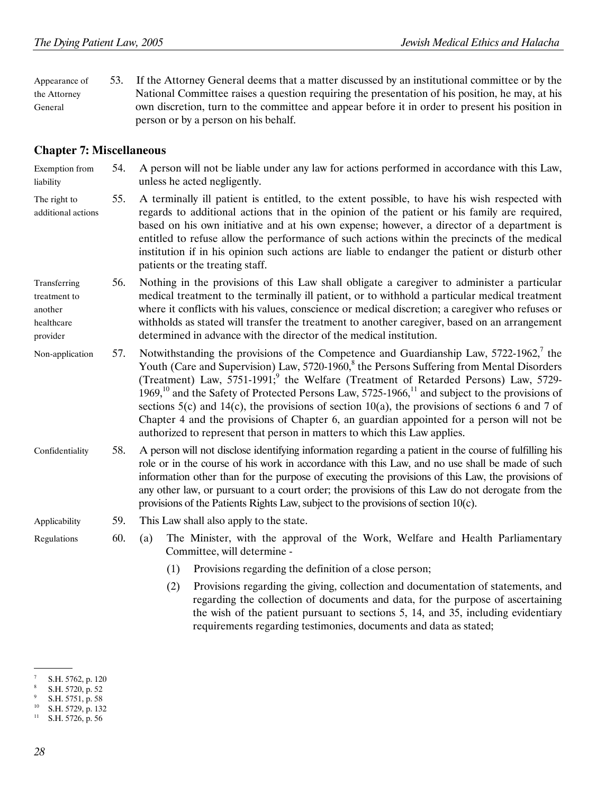Appearance of the Attorney General 53. If the Attorney General deems that a matter discussed by an institutional committee or by the National Committee raises a question requiring the presentation of his position, he may, at his own discretion, turn to the committee and appear before it in order to present his position in person or by a person on his behalf.

#### Chapter 7: Miscellaneous

Exemption from liability 54. A person will not be liable under any law for actions performed in accordance with this Law, unless he acted negligently.

- The right to additional actions 55. A terminally ill patient is entitled, to the extent possible, to have his wish respected with regards to additional actions that in the opinion of the patient or his family are required, based on his own initiative and at his own expense; however, a director of a department is entitled to refuse allow the performance of such actions within the precincts of the medical institution if in his opinion such actions are liable to endanger the patient or disturb other patients or the treating staff.
- Transferring treatment to another healthcare provider 56. Nothing in the provisions of this Law shall obligate a caregiver to administer a particular medical treatment to the terminally ill patient, or to withhold a particular medical treatment where it conflicts with his values, conscience or medical discretion; a caregiver who refuses or withholds as stated will transfer the treatment to another caregiver, based on an arrangement determined in advance with the director of the medical institution.
- Non-application 57. Notwithstanding the provisions of the Competence and Guardianship Law, 5722-1962,<sup>7</sup> the Youth (Care and Supervision) Law, 5720-1960,<sup>8</sup> the Persons Suffering from Mental Disorders (Treatment) Law,  $5751-1991$ ; the Welfare (Treatment of Retarded Persons) Law,  $5729-$ 1969,<sup>10</sup> and the Safety of Protected Persons Law, 5725-1966,<sup>11</sup> and subject to the provisions of sections  $5(c)$  and  $14(c)$ , the provisions of section  $10(a)$ , the provisions of sections 6 and 7 of Chapter 4 and the provisions of Chapter 6, an guardian appointed for a person will not be authorized to represent that person in matters to which this Law applies.
- Confidentiality 58. A person will not disclose identifying information regarding a patient in the course of fulfilling his role or in the course of his work in accordance with this Law, and no use shall be made of such information other than for the purpose of executing the provisions of this Law, the provisions of any other law, or pursuant to a court order; the provisions of this Law do not derogate from the provisions of the Patients Rights Law, subject to the provisions of section 10(c).

- Applicability 59. This Law shall also apply to the state.
- Regulations 60. (a) The Minister, with the approval of the Work, Welfare and Health Parliamentary Committee, will determine -
	- (1) Provisions regarding the definition of a close person;
	- (2) Provisions regarding the giving, collection and documentation of statements, and regarding the collection of documents and data, for the purpose of ascertaining the wish of the patient pursuant to sections 5, 14, and 35, including evidentiary requirements regarding testimonies, documents and data as stated;

 <sup>.</sup> 7 S.H. 5762, p. 120

<sup>8</sup> S.H. 5720, p. 52

<sup>9</sup>  $\frac{9}{10}$  S.H. 5751, p. 58

 $^{10}$  S.H. 5729, p. 132

S.H. 5726, p. 56